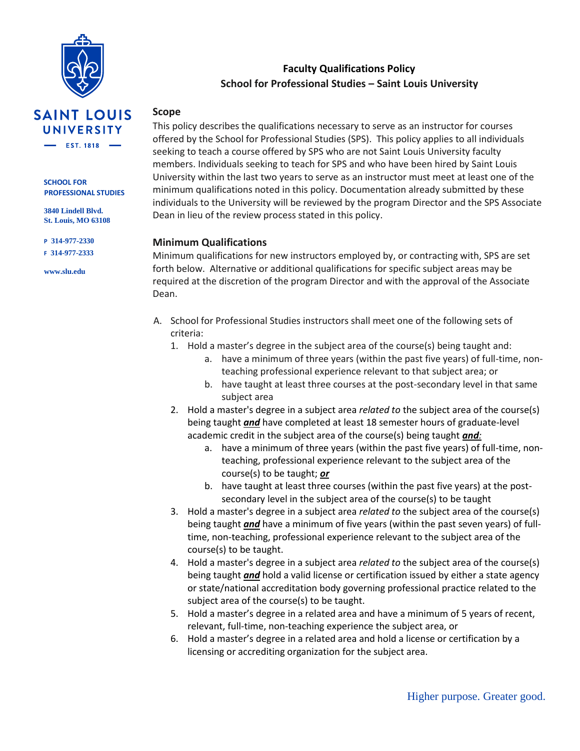

# **Faculty Qualifications Policy School for Professional Studies – Saint Louis University**

# **SAINT LOUIS UNIVERSITY**  $-$  EST. 1818  $-$

**SCHOOL FOR PROFESSIONAL STUDIES**

**3840 Lindell Blvd. St. Louis, MO 63108**

**P 314-977-2330 F 314-977-2333**

**www.slu.edu**

#### **Scope**

This policy describes the qualifications necessary to serve as an instructor for courses offered by the School for Professional Studies (SPS). This policy applies to all individuals seeking to teach a course offered by SPS who are not Saint Louis University faculty members. Individuals seeking to teach for SPS and who have been hired by Saint Louis University within the last two years to serve as an instructor must meet at least one of the minimum qualifications noted in this policy. Documentation already submitted by these individuals to the University will be reviewed by the program Director and the SPS Associate Dean in lieu of the review process stated in this policy.

## **Minimum Qualifications**

Minimum qualifications for new instructors employed by, or contracting with, SPS are set forth below. Alternative or additional qualifications for specific subject areas may be required at the discretion of the program Director and with the approval of the Associate Dean.

- A. School for Professional Studies instructors shall meet one of the following sets of criteria:
	- 1. Hold a master's degree in the subject area of the course(s) being taught and:
		- a. have a minimum of three years (within the past five years) of full-time, nonteaching professional experience relevant to that subject area; or
		- b. have taught at least three courses at the post-secondary level in that same subject area
	- 2. Hold a master's degree in a subject area *related to* the subject area of the course(s) being taught *and* have completed at least 18 semester hours of graduate-level academic credit in the subject area of the course(s) being taught *and:*
		- a. have a minimum of three years (within the past five years) of full-time, nonteaching, professional experience relevant to the subject area of the course(s) to be taught; *or*
		- b. have taught at least three courses (within the past five years) at the postsecondary level in the subject area of the course(s) to be taught
	- 3. Hold a master's degree in a subject area *related to* the subject area of the course(s) being taught *and* have a minimum of five years (within the past seven years) of fulltime, non-teaching, professional experience relevant to the subject area of the course(s) to be taught.
	- 4. Hold a master's degree in a subject area *related to* the subject area of the course(s) being taught *and* hold a valid license or certification issued by either a state agency or state/national accreditation body governing professional practice related to the subject area of the course(s) to be taught.
	- 5. Hold a master's degree in a related area and have a minimum of 5 years of recent, relevant, full-time, non-teaching experience the subject area, or
	- 6. Hold a master's degree in a related area and hold a license or certification by a licensing or accrediting organization for the subject area.